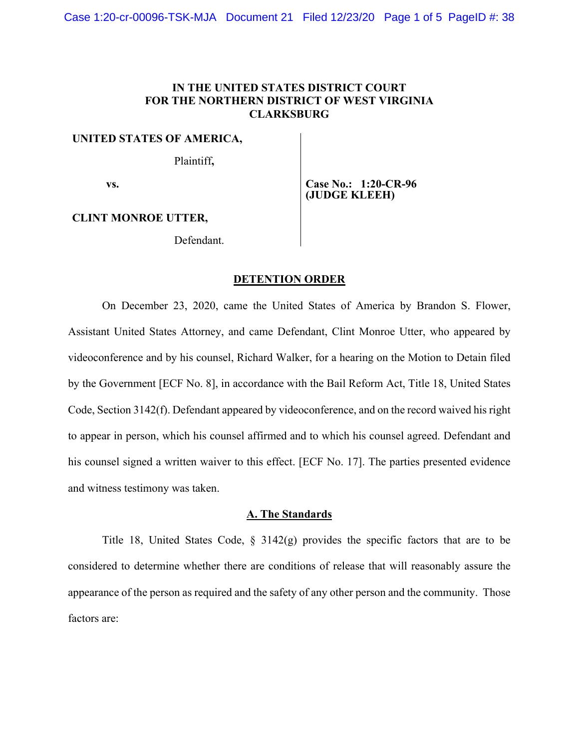## **IN THE UNITED STATES DISTRICT COURT FOR THE NORTHERN DISTRICT OF WEST VIRGINIA CLARKSBURG**

#### **UNITED STATES OF AMERICA,**

Plaintiff**,** 

 **vs.** 

**Case No.: 1:20-CR-96 (JUDGE KLEEH)** 

## **CLINT MONROE UTTER,**

Defendant.

#### **DETENTION ORDER**

 On December 23, 2020, came the United States of America by Brandon S. Flower, Assistant United States Attorney, and came Defendant, Clint Monroe Utter, who appeared by videoconference and by his counsel, Richard Walker, for a hearing on the Motion to Detain filed by the Government [ECF No. 8], in accordance with the Bail Reform Act, Title 18, United States Code, Section 3142(f). Defendant appeared by videoconference, and on the record waived his right to appear in person, which his counsel affirmed and to which his counsel agreed. Defendant and his counsel signed a written waiver to this effect. [ECF No. 17]. The parties presented evidence and witness testimony was taken.

## **A. The Standards**

 Title 18, United States Code, § 3142(g) provides the specific factors that are to be considered to determine whether there are conditions of release that will reasonably assure the appearance of the person as required and the safety of any other person and the community. Those factors are: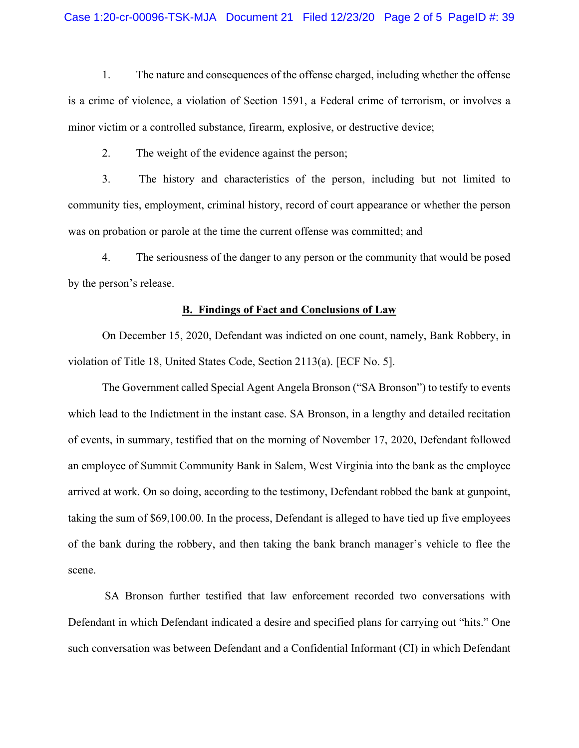1. The nature and consequences of the offense charged, including whether the offense is a crime of violence, a violation of Section 1591, a Federal crime of terrorism, or involves a minor victim or a controlled substance, firearm, explosive, or destructive device;

2. The weight of the evidence against the person;

 3. The history and characteristics of the person, including but not limited to community ties, employment, criminal history, record of court appearance or whether the person was on probation or parole at the time the current offense was committed; and

 4. The seriousness of the danger to any person or the community that would be posed by the person's release.

### **B. Findings of Fact and Conclusions of Law**

 On December 15, 2020, Defendant was indicted on one count, namely, Bank Robbery, in violation of Title 18, United States Code, Section 2113(a). [ECF No. 5].

 The Government called Special Agent Angela Bronson ("SA Bronson") to testify to events which lead to the Indictment in the instant case. SA Bronson, in a lengthy and detailed recitation of events, in summary, testified that on the morning of November 17, 2020, Defendant followed an employee of Summit Community Bank in Salem, West Virginia into the bank as the employee arrived at work. On so doing, according to the testimony, Defendant robbed the bank at gunpoint, taking the sum of \$69,100.00. In the process, Defendant is alleged to have tied up five employees of the bank during the robbery, and then taking the bank branch manager's vehicle to flee the scene.

 SA Bronson further testified that law enforcement recorded two conversations with Defendant in which Defendant indicated a desire and specified plans for carrying out "hits." One such conversation was between Defendant and a Confidential Informant (CI) in which Defendant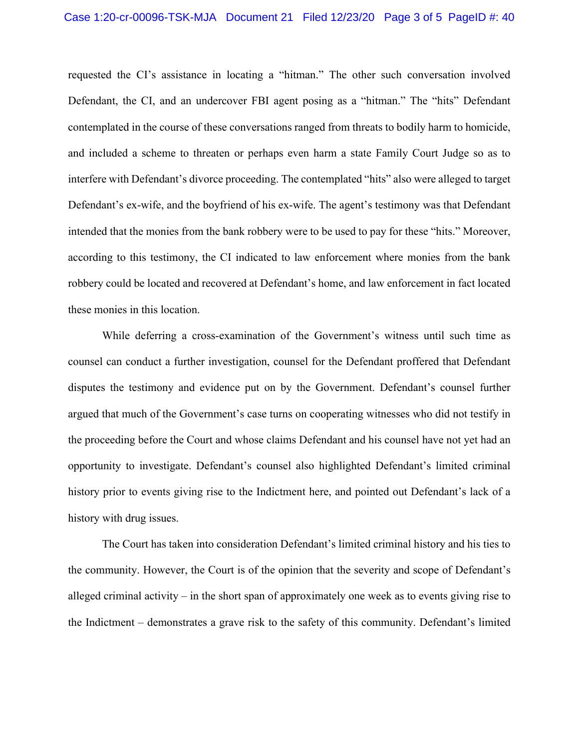requested the CI's assistance in locating a "hitman." The other such conversation involved Defendant, the CI, and an undercover FBI agent posing as a "hitman." The "hits" Defendant contemplated in the course of these conversations ranged from threats to bodily harm to homicide, and included a scheme to threaten or perhaps even harm a state Family Court Judge so as to interfere with Defendant's divorce proceeding. The contemplated "hits" also were alleged to target Defendant's ex-wife, and the boyfriend of his ex-wife. The agent's testimony was that Defendant intended that the monies from the bank robbery were to be used to pay for these "hits." Moreover, according to this testimony, the CI indicated to law enforcement where monies from the bank robbery could be located and recovered at Defendant's home, and law enforcement in fact located these monies in this location.

 While deferring a cross-examination of the Government's witness until such time as counsel can conduct a further investigation, counsel for the Defendant proffered that Defendant disputes the testimony and evidence put on by the Government. Defendant's counsel further argued that much of the Government's case turns on cooperating witnesses who did not testify in the proceeding before the Court and whose claims Defendant and his counsel have not yet had an opportunity to investigate. Defendant's counsel also highlighted Defendant's limited criminal history prior to events giving rise to the Indictment here, and pointed out Defendant's lack of a history with drug issues.

 The Court has taken into consideration Defendant's limited criminal history and his ties to the community. However, the Court is of the opinion that the severity and scope of Defendant's alleged criminal activity – in the short span of approximately one week as to events giving rise to the Indictment – demonstrates a grave risk to the safety of this community. Defendant's limited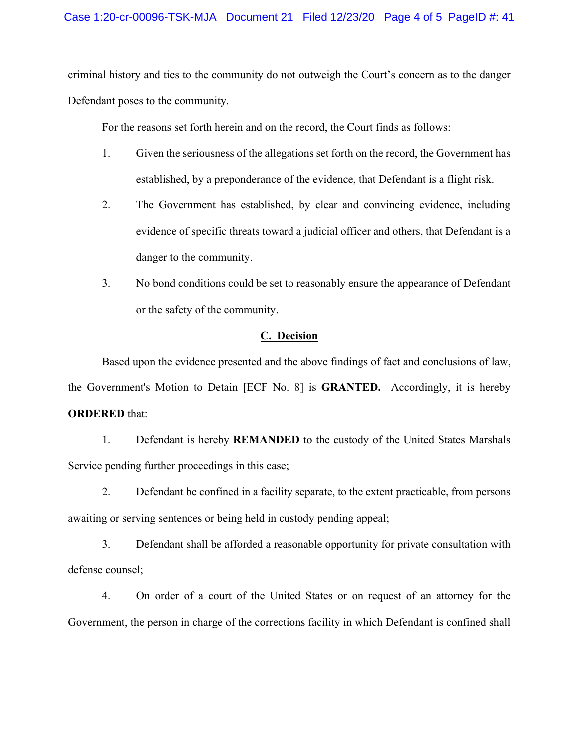criminal history and ties to the community do not outweigh the Court's concern as to the danger Defendant poses to the community.

For the reasons set forth herein and on the record, the Court finds as follows:

- 1. Given the seriousness of the allegations set forth on the record, the Government has established, by a preponderance of the evidence, that Defendant is a flight risk.
- 2. The Government has established, by clear and convincing evidence, including evidence of specific threats toward a judicial officer and others, that Defendant is a danger to the community.
- 3. No bond conditions could be set to reasonably ensure the appearance of Defendant or the safety of the community.

### **C. Decision**

 Based upon the evidence presented and the above findings of fact and conclusions of law, the Government's Motion to Detain [ECF No. 8] is **GRANTED.** Accordingly, it is hereby **ORDERED** that:

 1. Defendant is hereby **REMANDED** to the custody of the United States Marshals Service pending further proceedings in this case;

 2. Defendant be confined in a facility separate, to the extent practicable, from persons awaiting or serving sentences or being held in custody pending appeal;

 3. Defendant shall be afforded a reasonable opportunity for private consultation with defense counsel;

 4. On order of a court of the United States or on request of an attorney for the Government, the person in charge of the corrections facility in which Defendant is confined shall